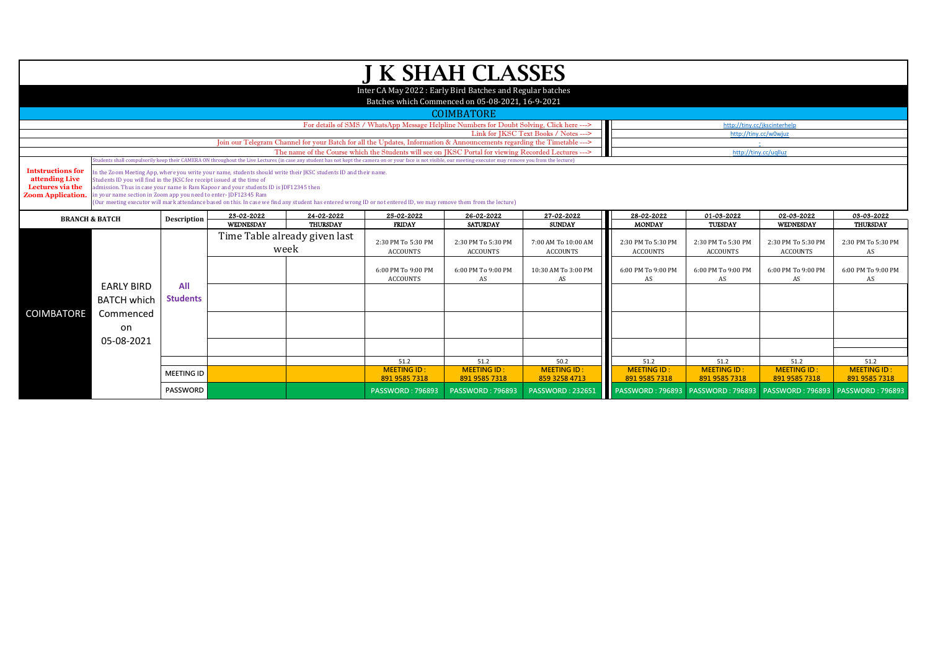| <b>J K SHAH CLASSES</b>                                                                                                                                            |                                                                                                                                                                                                                 |                   |                                                                                                                  |                               |                                                                                                      |                               |                             |                             |                              |                         |                        |  |  |
|--------------------------------------------------------------------------------------------------------------------------------------------------------------------|-----------------------------------------------------------------------------------------------------------------------------------------------------------------------------------------------------------------|-------------------|------------------------------------------------------------------------------------------------------------------|-------------------------------|------------------------------------------------------------------------------------------------------|-------------------------------|-----------------------------|-----------------------------|------------------------------|-------------------------|------------------------|--|--|
|                                                                                                                                                                    |                                                                                                                                                                                                                 |                   |                                                                                                                  |                               |                                                                                                      |                               |                             |                             |                              |                         |                        |  |  |
|                                                                                                                                                                    | Inter CA May 2022: Early Bird Batches and Regular batches<br>Batches which Commenced on 05-08-2021, 16-9-2021                                                                                                   |                   |                                                                                                                  |                               |                                                                                                      |                               |                             |                             |                              |                         |                        |  |  |
|                                                                                                                                                                    |                                                                                                                                                                                                                 |                   |                                                                                                                  |                               |                                                                                                      |                               |                             |                             |                              |                         |                        |  |  |
|                                                                                                                                                                    |                                                                                                                                                                                                                 |                   |                                                                                                                  |                               |                                                                                                      | <b>COIMBATORE</b>             |                             |                             |                              |                         |                        |  |  |
|                                                                                                                                                                    | For details of SMS / WhatsApp Message Helpline Numbers for Doubt Solving, Click here ---><br>http://tiny.cc/jkscinterhelp<br>Link for IKSC Text Books / Notes --->                                              |                   |                                                                                                                  |                               |                                                                                                      |                               |                             |                             |                              |                         |                        |  |  |
|                                                                                                                                                                    | http://tiny.cc/w0wjuz<br>Join our Telegram Channel for your Batch for all the Updates, Information & Announcements regarding the Timetable ---><br>$\pm$                                                        |                   |                                                                                                                  |                               |                                                                                                      |                               |                             |                             |                              |                         |                        |  |  |
|                                                                                                                                                                    |                                                                                                                                                                                                                 |                   |                                                                                                                  |                               | The name of the Course which the Students will see on JKSC Portal for viewing Recorded Lectures ---> |                               |                             |                             | http://tiny.cc/uqlluz        |                         |                        |  |  |
|                                                                                                                                                                    | tudents shall compulsorily keep their CAMERA ON throughout the Live Lectures (in case any student has not kept the camera on or your face is not visible, our meeting executor may remove you from the lecture) |                   |                                                                                                                  |                               |                                                                                                      |                               |                             |                             |                              |                         |                        |  |  |
| <b>Intstructions for</b><br>attending Live                                                                                                                         |                                                                                                                                                                                                                 |                   | In the Zoom Meeting App, where you write your name, students should write their JKSC students ID and their name. |                               |                                                                                                      |                               |                             |                             |                              |                         |                        |  |  |
| Lectures via the                                                                                                                                                   | Students ID you will find in the JKSC fee receipt issued at the time of                                                                                                                                         |                   | admission. Thus in case your name is Ram Kapoor and your students ID is JDF12345 then                            |                               |                                                                                                      |                               |                             |                             |                              |                         |                        |  |  |
| <b>Zoom Application.</b>                                                                                                                                           | in your name section in Zoom app you need to enter-JDF12345 Ram                                                                                                                                                 |                   |                                                                                                                  |                               |                                                                                                      |                               |                             |                             |                              |                         |                        |  |  |
| (Our meeting executor will mark attendance based on this. In case we find any student has entered wrong ID or not entered ID, we may remove them from the lecture) |                                                                                                                                                                                                                 |                   |                                                                                                                  |                               |                                                                                                      |                               |                             |                             |                              |                         |                        |  |  |
|                                                                                                                                                                    | <b>BRANCH &amp; BATCH</b>                                                                                                                                                                                       |                   | 23-02-2022<br><b>WEDNESDAY</b>                                                                                   | 24-02-2022<br><b>THURSDAY</b> | 25-02-2022<br><b>FRIDAY</b>                                                                          | 26-02-2022<br><b>SATURDAY</b> | 27-02-2022<br><b>SUNDAY</b> | 28-02-2022<br><b>MONDAY</b> | 01-03-2022<br><b>TUESDAY</b> | 02-03-2022<br>WEDNESDAY | 03-03-2022<br>THURSDAY |  |  |
|                                                                                                                                                                    |                                                                                                                                                                                                                 |                   |                                                                                                                  |                               |                                                                                                      |                               |                             |                             |                              |                         |                        |  |  |
|                                                                                                                                                                    |                                                                                                                                                                                                                 |                   | Time Table already given last<br>week                                                                            |                               | 2:30 PM To 5:30 PM                                                                                   | 2:30 PM To 5:30 PM            | 7:00 AM To 10:00 AM         | 2:30 PM To 5:30 PM          | 2:30 PM To 5:30 PM           | 2:30 PM To 5:30 PM      | 2:30 PM To 5:30 PM     |  |  |
|                                                                                                                                                                    |                                                                                                                                                                                                                 |                   |                                                                                                                  |                               | <b>ACCOUNTS</b>                                                                                      | <b>ACCOUNTS</b>               | <b>ACCOUNTS</b>             | ACCOUNTS                    | <b>ACCOUNTS</b>              | <b>ACCOUNTS</b>         | AS                     |  |  |
|                                                                                                                                                                    |                                                                                                                                                                                                                 |                   |                                                                                                                  |                               | 6:00 PM To 9:00 PM                                                                                   | 6:00 PM To 9:00 PM            | 10:30 AM To 3:00 PM         | 6:00 PM To 9:00 PM          | 6:00 PM To 9:00 PM           | 6:00 PM To 9:00 PM      | 6:00 PM To 9:00 PM     |  |  |
|                                                                                                                                                                    |                                                                                                                                                                                                                 |                   |                                                                                                                  |                               | <b>ACCOUNTS</b>                                                                                      | AS                            | AS.                         | AS                          | AS                           | AS                      | AS                     |  |  |
|                                                                                                                                                                    | <b>EARLY BIRD</b>                                                                                                                                                                                               | All               |                                                                                                                  |                               |                                                                                                      |                               |                             |                             |                              |                         |                        |  |  |
|                                                                                                                                                                    | <b>BATCH which</b>                                                                                                                                                                                              | <b>Students</b>   |                                                                                                                  |                               |                                                                                                      |                               |                             |                             |                              |                         |                        |  |  |
| COIMBATORE                                                                                                                                                         | Commenced                                                                                                                                                                                                       |                   |                                                                                                                  |                               |                                                                                                      |                               |                             |                             |                              |                         |                        |  |  |
|                                                                                                                                                                    | on                                                                                                                                                                                                              |                   |                                                                                                                  |                               |                                                                                                      |                               |                             |                             |                              |                         |                        |  |  |
|                                                                                                                                                                    |                                                                                                                                                                                                                 |                   |                                                                                                                  |                               |                                                                                                      |                               |                             |                             |                              |                         |                        |  |  |
|                                                                                                                                                                    | 05-08-2021                                                                                                                                                                                                      |                   |                                                                                                                  |                               |                                                                                                      |                               |                             |                             |                              |                         |                        |  |  |
|                                                                                                                                                                    |                                                                                                                                                                                                                 |                   |                                                                                                                  |                               | 51.2                                                                                                 | 51.2                          | 50.2                        | 51.2                        | 51.2                         | 51.2                    | 51.2                   |  |  |
|                                                                                                                                                                    |                                                                                                                                                                                                                 |                   |                                                                                                                  |                               | <b>MEETING ID:</b>                                                                                   | <b>MEETING ID:</b>            | <b>MEETING ID:</b>          | <b>MEETING ID:</b>          | <b>MEETING ID:</b>           | <b>MEETING ID:</b>      | <b>MEETING ID:</b>     |  |  |
|                                                                                                                                                                    |                                                                                                                                                                                                                 | <b>MEETING ID</b> |                                                                                                                  |                               | 891 9585 7318                                                                                        | 891 9585 7318                 | 859 3258 4713               | 891 9585 7318               | 891 9585 7318                | 891 9585 7318           | 891 9585 7318          |  |  |
|                                                                                                                                                                    |                                                                                                                                                                                                                 | <b>PASSWORD</b>   |                                                                                                                  |                               | <b>PASSWORD: 796893</b>                                                                              | <b>PASSWORD: 796893</b>       | <b>PASSWORD: 232651</b>     |                             |                              |                         |                        |  |  |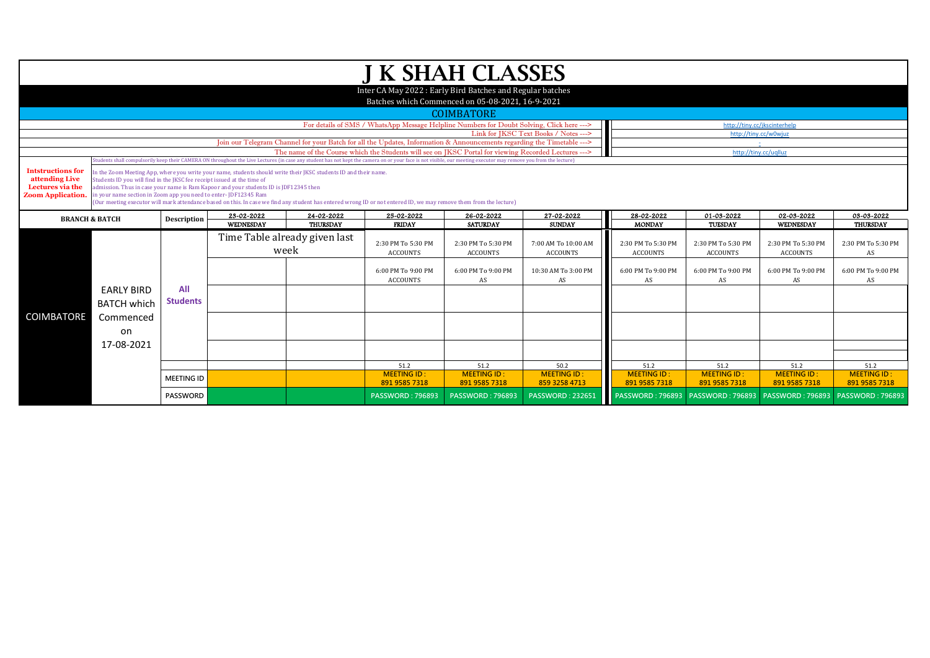| <b>J K SHAH CLASSES</b>                                                                    |                                                                                                                                                                                                                                                                                                                                                                                                                                                                                                                               |                        |                                       |                               |                                                                                                 |                                                                                      |                                                                                      |                                                                                    |                                                                                     |                                                                                |                                                                  |  |  |  |
|--------------------------------------------------------------------------------------------|-------------------------------------------------------------------------------------------------------------------------------------------------------------------------------------------------------------------------------------------------------------------------------------------------------------------------------------------------------------------------------------------------------------------------------------------------------------------------------------------------------------------------------|------------------------|---------------------------------------|-------------------------------|-------------------------------------------------------------------------------------------------|--------------------------------------------------------------------------------------|--------------------------------------------------------------------------------------|------------------------------------------------------------------------------------|-------------------------------------------------------------------------------------|--------------------------------------------------------------------------------|------------------------------------------------------------------|--|--|--|
|                                                                                            | Inter CA May 2022: Early Bird Batches and Regular batches                                                                                                                                                                                                                                                                                                                                                                                                                                                                     |                        |                                       |                               |                                                                                                 |                                                                                      |                                                                                      |                                                                                    |                                                                                     |                                                                                |                                                                  |  |  |  |
|                                                                                            | Batches which Commenced on 05-08-2021, 16-9-2021<br><b>COIMBATORE</b>                                                                                                                                                                                                                                                                                                                                                                                                                                                         |                        |                                       |                               |                                                                                                 |                                                                                      |                                                                                      |                                                                                    |                                                                                     |                                                                                |                                                                  |  |  |  |
|                                                                                            | For details of SMS / WhatsApp Message Helpline Numbers for Doubt Solving, Click here ---><br>http://tiny.cc/jkscinterhelp                                                                                                                                                                                                                                                                                                                                                                                                     |                        |                                       |                               |                                                                                                 |                                                                                      |                                                                                      |                                                                                    |                                                                                     |                                                                                |                                                                  |  |  |  |
|                                                                                            | Link for IKSC Text Books / Notes ---><br>http://tiny.cc/w0wjuz                                                                                                                                                                                                                                                                                                                                                                                                                                                                |                        |                                       |                               |                                                                                                 |                                                                                      |                                                                                      |                                                                                    |                                                                                     |                                                                                |                                                                  |  |  |  |
|                                                                                            | Join our Telegram Channel for your Batch for all the Updates, Information & Announcements regarding the Timetable --->                                                                                                                                                                                                                                                                                                                                                                                                        |                        |                                       |                               |                                                                                                 |                                                                                      |                                                                                      |                                                                                    |                                                                                     |                                                                                |                                                                  |  |  |  |
|                                                                                            | The name of the Course which the Students will see on JKSC Portal for viewing Recorded Lectures ---><br>http://tiny.cc/uqlluz<br>Students shall compulsorily keep their CAMERA ON throughout the Live Lectures (in case any student has not kept the camera on or your face is not visible, our meeting executor may remove you from the lecture)                                                                                                                                                                             |                        |                                       |                               |                                                                                                 |                                                                                      |                                                                                      |                                                                                    |                                                                                     |                                                                                |                                                                  |  |  |  |
| <b>Intstructions for</b><br>attending Live<br>Lectures via the<br><b>Zoom Application.</b> | In the Zoom Meeting App, where you write your name, students should write their JKSC students ID and their name.<br>Students ID you will find in the JKSC fee receipt issued at the time of<br>admission. Thus in case your name is Ram Kapoor and your students ID is JDF12345 then<br>in your name section in Zoom app you need to enter-JDF12345 Ram<br>(Our meeting executor will mark attendance based on this. In case we find any student has entered wrong ID or not entered ID, we may remove them from the lecture) |                        |                                       |                               |                                                                                                 |                                                                                      |                                                                                      |                                                                                    |                                                                                     |                                                                                |                                                                  |  |  |  |
| <b>BRANCH &amp; BATCH</b>                                                                  |                                                                                                                                                                                                                                                                                                                                                                                                                                                                                                                               | <b>Description</b>     | 23-02-2022<br>WEDNESDAY               | 24-02-2022<br><b>THURSDAY</b> | 25-02-2022                                                                                      | 26-02-2022                                                                           | 27-02-2022                                                                           | 28-02-2022                                                                         | 01-03-2022                                                                          | 02-03-2022                                                                     | 03-03-2022                                                       |  |  |  |
|                                                                                            |                                                                                                                                                                                                                                                                                                                                                                                                                                                                                                                               |                        | Time Table already given last<br>week |                               | <b>FRIDAY</b><br>2:30 PM To 5:30 PM<br><b>ACCOUNTS</b><br>6:00 PM To 9:00 PM<br><b>ACCOUNTS</b> | <b>SATURDAY</b><br>2:30 PM To 5:30 PM<br><b>ACCOUNTS</b><br>6:00 PM To 9:00 PM<br>AS | <b>SUNDAY</b><br>7:00 AM To 10:00 AM<br><b>ACCOUNTS</b><br>10:30 AM To 3:00 PM<br>AS | <b>MONDAY</b><br>2:30 PM To 5:30 PM<br><b>ACCOUNTS</b><br>6:00 PM To 9:00 PM<br>AS | <b>TUESDAY</b><br>2:30 PM To 5:30 PM<br><b>ACCOUNTS</b><br>6:00 PM To 9:00 PM<br>AS | WEDNESDAY<br>2:30 PM To 5:30 PM<br><b>ACCOUNTS</b><br>6:00 PM To 9:00 PM<br>AS | THURSDAY<br>2:30 PM To 5:30 PM<br>AS<br>6:00 PM To 9:00 PM<br>AS |  |  |  |
| <b>COIMBATORE</b>                                                                          | <b>EARLY BIRD</b><br><b>BATCH which</b><br>Commenced                                                                                                                                                                                                                                                                                                                                                                                                                                                                          | All<br><b>Students</b> |                                       |                               |                                                                                                 |                                                                                      |                                                                                      |                                                                                    |                                                                                     |                                                                                |                                                                  |  |  |  |
|                                                                                            | on                                                                                                                                                                                                                                                                                                                                                                                                                                                                                                                            |                        |                                       |                               |                                                                                                 |                                                                                      |                                                                                      |                                                                                    |                                                                                     |                                                                                |                                                                  |  |  |  |
|                                                                                            | 17-08-2021                                                                                                                                                                                                                                                                                                                                                                                                                                                                                                                    |                        |                                       |                               |                                                                                                 |                                                                                      |                                                                                      |                                                                                    |                                                                                     |                                                                                |                                                                  |  |  |  |
|                                                                                            |                                                                                                                                                                                                                                                                                                                                                                                                                                                                                                                               |                        |                                       |                               | 51.2                                                                                            | 51.2                                                                                 | 50.2                                                                                 | 51.2                                                                               | 51.2                                                                                | 51.2                                                                           | 51.2                                                             |  |  |  |
|                                                                                            |                                                                                                                                                                                                                                                                                                                                                                                                                                                                                                                               | <b>MEETING ID</b>      |                                       |                               | <b>MEETING ID:</b><br>891 9585 7318                                                             | <b>MEETING ID:</b><br>891 9585 7318                                                  | <b>MEETING ID:</b><br>859 3258 4713                                                  | <b>MEETING ID:</b><br>891 9585 7318                                                | <b>MEETING ID:</b><br>891 9585 7318                                                 | <b>MEETING ID:</b><br>891 9585 7318                                            | <b>MEETING ID:</b><br>891 9585 7318                              |  |  |  |
|                                                                                            |                                                                                                                                                                                                                                                                                                                                                                                                                                                                                                                               | <b>PASSWORD</b>        |                                       |                               | <b>PASSWORD: 796893</b>                                                                         | <b>PASSWORD: 796893</b>                                                              | <b>PASSWORD: 232651</b>                                                              |                                                                                    |                                                                                     |                                                                                |                                                                  |  |  |  |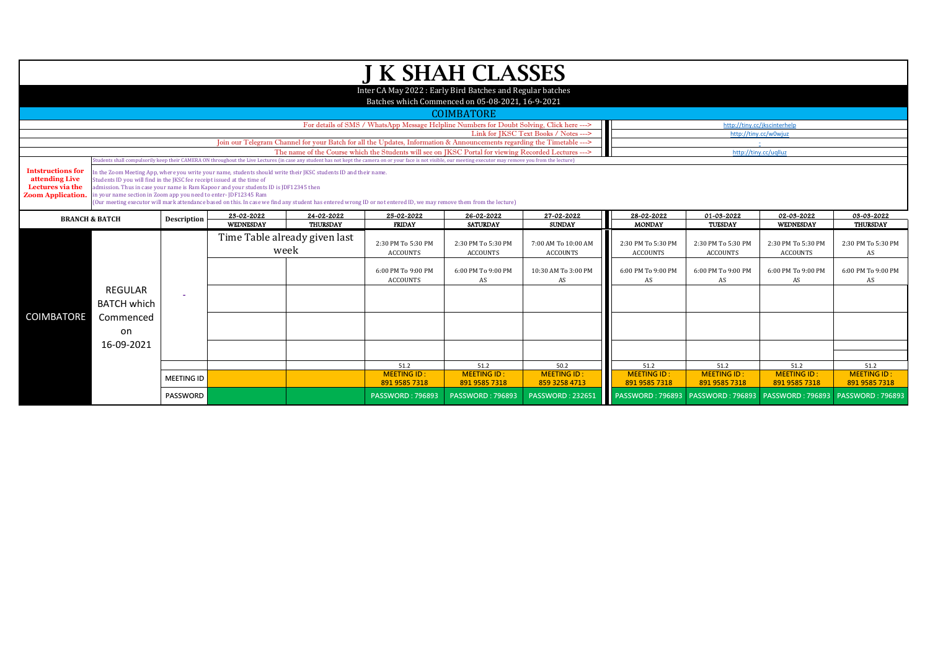|                                                                                                                                                                                                                                        | <b>J K SHAH CLASSES</b>                                                                                                                                                                                                                                                                                                                                                                                                                                                                                                       |                    |                                                    |                 |                                                                                                 |                                                                                      |                                                                               |                                                                                    |                                                                                     |                                                                                |                                                                         |  |  |  |
|----------------------------------------------------------------------------------------------------------------------------------------------------------------------------------------------------------------------------------------|-------------------------------------------------------------------------------------------------------------------------------------------------------------------------------------------------------------------------------------------------------------------------------------------------------------------------------------------------------------------------------------------------------------------------------------------------------------------------------------------------------------------------------|--------------------|----------------------------------------------------|-----------------|-------------------------------------------------------------------------------------------------|--------------------------------------------------------------------------------------|-------------------------------------------------------------------------------|------------------------------------------------------------------------------------|-------------------------------------------------------------------------------------|--------------------------------------------------------------------------------|-------------------------------------------------------------------------|--|--|--|
|                                                                                                                                                                                                                                        | Inter CA May 2022: Early Bird Batches and Regular batches                                                                                                                                                                                                                                                                                                                                                                                                                                                                     |                    |                                                    |                 |                                                                                                 |                                                                                      |                                                                               |                                                                                    |                                                                                     |                                                                                |                                                                         |  |  |  |
|                                                                                                                                                                                                                                        | Batches which Commenced on 05-08-2021, 16-9-2021                                                                                                                                                                                                                                                                                                                                                                                                                                                                              |                    |                                                    |                 |                                                                                                 |                                                                                      |                                                                               |                                                                                    |                                                                                     |                                                                                |                                                                         |  |  |  |
|                                                                                                                                                                                                                                        | <b>COIMBATORE</b>                                                                                                                                                                                                                                                                                                                                                                                                                                                                                                             |                    |                                                    |                 |                                                                                                 |                                                                                      |                                                                               |                                                                                    |                                                                                     |                                                                                |                                                                         |  |  |  |
|                                                                                                                                                                                                                                        | For details of SMS / WhatsApp Message Helpline Numbers for Doubt Solving, Click here ---><br>http://tiny.cc/jkscinterhelp                                                                                                                                                                                                                                                                                                                                                                                                     |                    |                                                    |                 |                                                                                                 |                                                                                      |                                                                               |                                                                                    |                                                                                     |                                                                                |                                                                         |  |  |  |
|                                                                                                                                                                                                                                        | Link for JKSC Text Books / Notes ---><br>http://tiny.cc/w0wjuz                                                                                                                                                                                                                                                                                                                                                                                                                                                                |                    |                                                    |                 |                                                                                                 |                                                                                      |                                                                               |                                                                                    |                                                                                     |                                                                                |                                                                         |  |  |  |
| Join our Telegram Channel for your Batch for all the Updates, Information & Announcements regarding the Timetable ---><br>1979<br>The name of the Course which the Students will see on IKSC Portal for viewing Recorded Lectures ---> |                                                                                                                                                                                                                                                                                                                                                                                                                                                                                                                               |                    |                                                    |                 |                                                                                                 |                                                                                      |                                                                               |                                                                                    |                                                                                     |                                                                                |                                                                         |  |  |  |
|                                                                                                                                                                                                                                        | http://tiny.cc/uqlluz<br>Students shall compulsorily keep their CAMERA ON throughout the Live Lectures (in case any student has not kept the camera on or your face is not visible, our meeting executor may remove you from the lecture)                                                                                                                                                                                                                                                                                     |                    |                                                    |                 |                                                                                                 |                                                                                      |                                                                               |                                                                                    |                                                                                     |                                                                                |                                                                         |  |  |  |
| <b>Intstructions for</b><br>attending Live<br>Lectures via the<br><b>Zoom Application.</b>                                                                                                                                             | In the Zoom Meeting App, where you write your name, students should write their JKSC students ID and their name.<br>Students ID you will find in the JKSC fee receipt issued at the time of<br>admission. Thus in case your name is Ram Kapoor and your students ID is JDF12345 then<br>in your name section in Zoom app you need to enter-JDF12345 Ram<br>(Our meeting executor will mark attendance based on this. In case we find any student has entered wrong ID or not entered ID, we may remove them from the lecture) |                    |                                                    |                 |                                                                                                 |                                                                                      |                                                                               |                                                                                    |                                                                                     |                                                                                |                                                                         |  |  |  |
| <b>BRANCH &amp; BATCH</b>                                                                                                                                                                                                              |                                                                                                                                                                                                                                                                                                                                                                                                                                                                                                                               | <b>Description</b> | 23-02-2022                                         | 24-02-2022      | 25-02-2022                                                                                      | 26-02-2022                                                                           | 27-02-2022                                                                    | 28-02-2022                                                                         | 01-03-2022                                                                          | 02-03-2022                                                                     | 03-03-2022                                                              |  |  |  |
|                                                                                                                                                                                                                                        |                                                                                                                                                                                                                                                                                                                                                                                                                                                                                                                               |                    | WEDNESDAY<br>Time Table already given last<br>week | <b>THURSDAY</b> | <b>FRIDAY</b><br>2:30 PM To 5:30 PM<br><b>ACCOUNTS</b><br>6:00 PM To 9:00 PM<br><b>ACCOUNTS</b> | <b>SATURDAY</b><br>2:30 PM To 5:30 PM<br><b>ACCOUNTS</b><br>6:00 PM To 9:00 PM<br>AS | <b>SUNDAY</b><br>7:00 AM To 10:00 AM<br>ACCOUNTS<br>10:30 AM To 3:00 PM<br>AS | <b>MONDAY</b><br>2:30 PM To 5:30 PM<br><b>ACCOUNTS</b><br>6:00 PM To 9:00 PM<br>AS | <b>TUESDAY</b><br>2:30 PM To 5:30 PM<br><b>ACCOUNTS</b><br>6:00 PM To 9:00 PM<br>AS | WEDNESDAY<br>2:30 PM To 5:30 PM<br><b>ACCOUNTS</b><br>6:00 PM To 9:00 PM<br>AS | <b>THURSDAY</b><br>2:30 PM To 5:30 PM<br>AS<br>6:00 PM To 9:00 PM<br>AS |  |  |  |
|                                                                                                                                                                                                                                        | <b>REGULAR</b><br><b>BATCH which</b>                                                                                                                                                                                                                                                                                                                                                                                                                                                                                          |                    |                                                    |                 |                                                                                                 |                                                                                      |                                                                               |                                                                                    |                                                                                     |                                                                                |                                                                         |  |  |  |
| COIMBATORE                                                                                                                                                                                                                             | Commenced<br>on                                                                                                                                                                                                                                                                                                                                                                                                                                                                                                               |                    |                                                    |                 |                                                                                                 |                                                                                      |                                                                               |                                                                                    |                                                                                     |                                                                                |                                                                         |  |  |  |
|                                                                                                                                                                                                                                        | 16-09-2021                                                                                                                                                                                                                                                                                                                                                                                                                                                                                                                    |                    |                                                    |                 |                                                                                                 |                                                                                      |                                                                               |                                                                                    |                                                                                     |                                                                                |                                                                         |  |  |  |
|                                                                                                                                                                                                                                        |                                                                                                                                                                                                                                                                                                                                                                                                                                                                                                                               |                    |                                                    |                 | 51.2                                                                                            | 51.2                                                                                 | 50.2                                                                          | 51.2                                                                               | 51.2                                                                                | 51.2                                                                           | 51.2                                                                    |  |  |  |
|                                                                                                                                                                                                                                        |                                                                                                                                                                                                                                                                                                                                                                                                                                                                                                                               | <b>MEETING ID</b>  |                                                    |                 | <b>MEETING ID:</b>                                                                              | <b>MEETING ID:</b>                                                                   | <b>MEETING ID:</b>                                                            | <b>MEETING ID:</b>                                                                 | <b>MEETING ID:</b>                                                                  | <b>MEETING ID:</b>                                                             | <b>MEETING ID:</b>                                                      |  |  |  |
|                                                                                                                                                                                                                                        |                                                                                                                                                                                                                                                                                                                                                                                                                                                                                                                               |                    |                                                    |                 | 891 9585 7318                                                                                   | 891 9585 7318                                                                        | 859 3258 4713                                                                 | 891 9585 7318                                                                      | 891 9585 7318                                                                       | 891 9585 7318                                                                  | 891 9585 7318                                                           |  |  |  |
|                                                                                                                                                                                                                                        |                                                                                                                                                                                                                                                                                                                                                                                                                                                                                                                               | PASSWORD           |                                                    |                 | <b>PASSWORD: 796893</b>                                                                         | <b>PASSWORD: 796893</b>                                                              | <b>PASSWORD: 232651</b>                                                       |                                                                                    |                                                                                     |                                                                                |                                                                         |  |  |  |